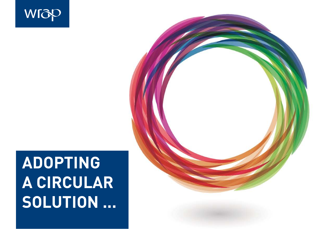# **ADOPTING A CIRCULAR SOLUTION ...**

WIZP

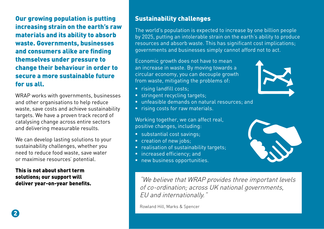Our growing population is putting increasing strain on the earth's raw materials and its ability to absorb waste. Governments, businesses and consumers alike are finding themselves under pressure to change their behaviour in order to secure a more sustainable future for us all.

WRAP works with governments, businesses and other organisations to help reduce waste, save costs and achieve sustainability targets. We have a proven track record of catalysing change across entire sectors and delivering measurable results.

We can develop lasting solutions to your sustainability challenges, whether you need to reduce food waste, save water or maximise resources' potential.

This is not about short term solutions; our support will deliver year-on-year benefits.

#### Sustainability challenges

The world's population is expected to increase by one billion people by 2025, putting an intolerable strain on the earth's ability to produce resources and absorb waste. This has significant cost implications; governments and businesses simply cannot afford not to act.

Economic growth does not have to mean an increase in waste. By moving towards a circular economy, you can decouple growth from waste, mitigating the problems of:

- **F** rising landfill costs;
- **stringent recycling targets;**
- unfeasible demands on natural resources; and
- **Fig. 1.1.** rising costs for raw materials.

Working together, we can affect real, positive changes, including:

- substantial cost savings;
- creation of new jobs;
- **P** realisation of sustainability targets;
- **n** increased efficiency; and
- **new business opportunities.**

"We believe that WRAP provides three important levels of co-ordination; across UK national governments, EU and internationally."

Rowland Hill, Marks & Spencer

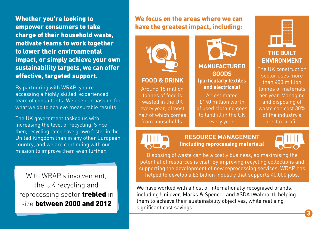Whether you're looking to empower consumers to take charge of their household waste, motivate teams to work together to lower their environmental impact, or simply achieve your own sustainability targets, we can offer effective, targeted support.

By partnering with WRAP, you're accessing a highly skilled, experienced team of consultants. We use our passion for what we do to achieve measurable results.

The UK government tasked us with increasing the level of recycling. Since then, recycling rates have grown faster in the United Kingdom than in any other European country, and we are continuing with our mission to improve them even further.

With WRAP's involvement, the UK recycling and reprocessing sector **trebled** in size between 2000 and 2012

#### We focus on the areas where we can have the greatest impact, including:



#### **FOOD & DRINK**

Around 15 million tonnes of food is wasted in the UK every year, almost half of which comes from households.

**MANUFACTURED GOODS (particularly textiles and electricals)**

An estimated £140 million worth of used clothing goes to landfill in the UK every year.



The UK construction sector uses more than 400 million tonnes of materials per year. Managing and disposing of waste can cost 30% of the industry's pre-tax profit.



**RESOURCE MANAGEMENT (including reprocessing materials)**



Disposing of waste can be a costly business, so maximising the potential of resources is vital. By improving recycling collections and supporting the development of new reprocessing services, WRAP has helped to develop a £3 billion industry that supports 40,000 jobs.

We have worked with a host of internationally recognised brands, including Unilever, Marks & Spencer and ASDA (Walmart); helping them to achieve their sustainability objectives, while realising significant cost savings.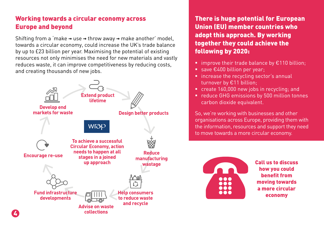#### Working towards a circular economy across Europe and beyond

Shifting from a 'make **→** use **→** throw away **→** make another' model, towards a circular economy, could increase the UK's trade balance by up to £23 billion per year. Maximising the potential of existing resources not only minimises the need for new materials and vastly reduces waste, it can improve competitiveness by reducing costs, and creating thousands of new jobs.



4

There is huge potential for European Union (EU) member countries who adopt this approach. By working together they could achieve the following by 2020:

- **I** improve their trade balance by  $\epsilon$ 110 billion;
- save €400 billion per year;
- **E** increase the recycling sector's annual turnover by €11 billion;
- create 160,000 new jobs in recycling; and
- **•** reduce GHG emissions by 500 million tonnes carbon dioxide equivalent.

So, we're working with businesses and other organisations across Europe, providing them with the information, resources and support they need to move towards a more circular economy.



Call us to discuss how you could benefit from moving towards a more circular economy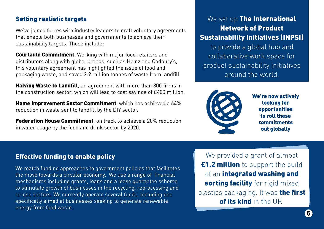#### Setting realistic targets

We've joined forces with industry leaders to craft voluntary agreements that enable both businesses and governments to achieve their sustainability targets. These include:

Courtauld Commitment. Working with major food retailers and distributors along with global brands, such as Heinz and Cadbury's, this voluntary agreement has highlighted the issue of food and packaging waste, and saved 2.9 million tonnes of waste from landfill.

Halving Waste to Landfill, an agreement with more than 800 firms in the construction sector, which will lead to cost savings of £400 million.

Home Improvement Sector Commitment, which has achieved a 64% reduction in waste sent to landfill by the DIY sector.

**Federation House Commitment**, on track to achieve a 20% reduction in water usage by the food and drink sector by 2020.

#### We set up The International Network of Product Sustainability Initiatives (INPSI)

to provide a global hub and collaborative work space for product sustainability initiatives around the world.



We're now actively looking for opportunities to roll these commitments out globally

#### Effective funding to enable policy

We match funding approaches to government policies that facilitates the move towards a circular economy. We use a range of financial mechanisms including grants, loans and a lease guarantee scheme to stimulate growth of businesses in the recycling, reprocessing and re-use sectors. We currently operate several funds, including one specifically aimed at businesses seeking to generate renewable energy from food waste.

We provided a grant of almost **£1.2 million** to support the build of an integrated washing and sorting facility for rigid mixed plastics packaging. It was the first of its kind in the UK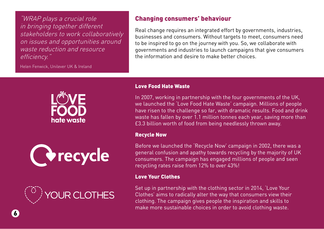"WRAP plays a crucial role in bringing together different stakeholders to work collaboratively on issues and opportunities around waste reduction and resource efficiency."

Helen Fenwick, Unilever UK & Ireland



Real change requires an integrated effort by governments, industries, businesses and consumers. Without targets to meet, consumers need to be inspired to go on the journey with you. So, we collaborate with governments and industries to launch campaigns that give consumers the information and desire to make better choices.



Corecycle



#### Love Food Hate Waste

In 2007, working in partnership with the four governments of the UK, we launched the 'Love Food Hate Waste' campaign. Millions of people have risen to the challenge so far, with dramatic results. Food and drink waste has fallen by over 1.1 million tonnes each year, saving more than £3.3 billion worth of food from being needlessly thrown away.

#### Recycle Now

Before we launched the 'Recycle Now' campaign in 2002, there was a general confusion and apathy towards recycling by the majority of UK consumers. The campaign has engaged millions of people and seen recycling rates raise from 12% to over 43%!

#### Love Your Clothes

Set up in partnership with the clothing sector in 2014, 'Love Your Clothes' aims to radically alter the way that consumers view their clothing. The campaign gives people the inspiration and skills to make more sustainable choices in order to avoid clothing waste.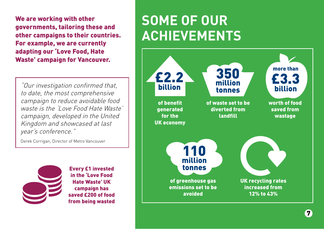We are working with other governments, tailoring these and other campaigns to their countries. For example, we are currently adapting our 'Love Food, Hate Waste' campaign for Vancouver.

"Our investigation confirmed that, to date, the most comprehensive campaign to reduce avoidable food waste is the 'Love Food Hate Waste' campaign, developed in the United Kingdom and showcased at last year's conference."

Derek Corrigan, Director of Metro Vancouver



Every £1 invested in the 'Love Food Hate Waste' UK campaign has saved £200 of food from being wasted

## **SOME OF OUR ACHIEVEMENTS**